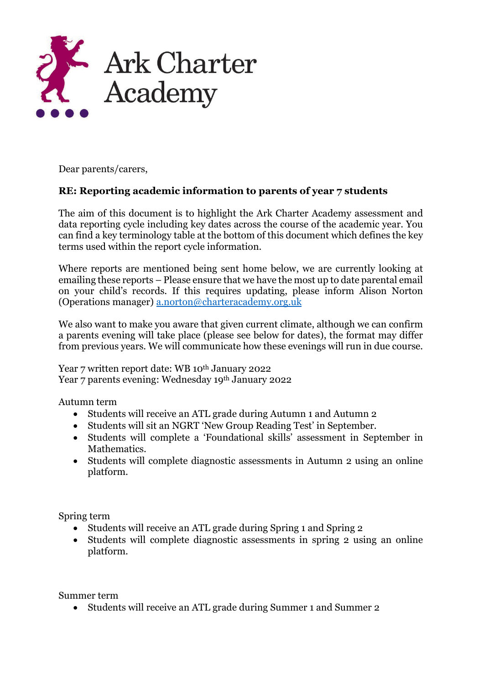

Dear parents/carers,

## **RE: Reporting academic information to parents of year 7 students**

The aim of this document is to highlight the Ark Charter Academy assessment and data reporting cycle including key dates across the course of the academic year. You can find a key terminology table at the bottom of this document which defines the key terms used within the report cycle information.

Where reports are mentioned being sent home below, we are currently looking at emailing these reports – Please ensure that we have the most up to date parental email on your child's records. If this requires updating, please inform Alison Norton (Operations manager) [a.norton@charteracademy.org.uk](mailto:a.norton@charteracademy.org.uk*)

We also want to make you aware that given current climate, although we can confirm a parents evening will take place (please see below for dates), the format may differ from previous years. We will communicate how these evenings will run in due course.

Year 7 written report date: WB 10<sup>th</sup> January 2022 Year 7 parents evening: Wednesday 19th January 2022

Autumn term

- Students will receive an ATL grade during Autumn 1 and Autumn 2
- Students will sit an NGRT 'New Group Reading Test' in September.
- Students will complete a 'Foundational skills' assessment in September in Mathematics.
- Students will complete diagnostic assessments in Autumn 2 using an online platform.

Spring term

- Students will receive an ATL grade during Spring 1 and Spring 2
- Students will complete diagnostic assessments in spring 2 using an online platform.

Summer term

• Students will receive an ATL grade during Summer 1 and Summer 2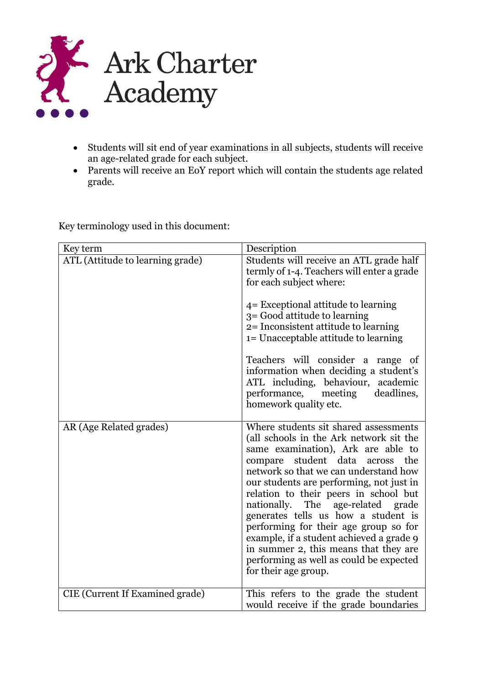

- Students will sit end of year examinations in all subjects, students will receive an age-related grade for each subject.
- Parents will receive an EoY report which will contain the students age related grade.

Key terminology used in this document:

| Key term                         | Description                                                                                                                                                                                                                                                                                                                                                                                                                                                                                                                                                                   |
|----------------------------------|-------------------------------------------------------------------------------------------------------------------------------------------------------------------------------------------------------------------------------------------------------------------------------------------------------------------------------------------------------------------------------------------------------------------------------------------------------------------------------------------------------------------------------------------------------------------------------|
| ATL (Attitude to learning grade) | Students will receive an ATL grade half<br>termly of 1-4. Teachers will enter a grade<br>for each subject where:<br>4 = Exceptional attitude to learning<br>3 = Good attitude to learning<br>2= Inconsistent attitude to learning<br>1= Unacceptable attitude to learning<br>Teachers will consider a range of<br>information when deciding a student's<br>ATL including, behaviour, academic<br>performance, meeting deadlines,<br>homework quality etc.                                                                                                                     |
| AR (Age Related grades)          | Where students sit shared assessments<br>(all schools in the Ark network sit the<br>same examination), Ark are able to<br>student data<br>compare<br>the<br>across<br>network so that we can understand how<br>our students are performing, not just in<br>relation to their peers in school but<br>nationally. The age-related grade<br>generates tells us how a student is<br>performing for their age group so for<br>example, if a student achieved a grade 9<br>in summer 2, this means that they are<br>performing as well as could be expected<br>for their age group. |
| CIE (Current If Examined grade)  | This refers to the grade the student<br>would receive if the grade boundaries                                                                                                                                                                                                                                                                                                                                                                                                                                                                                                 |